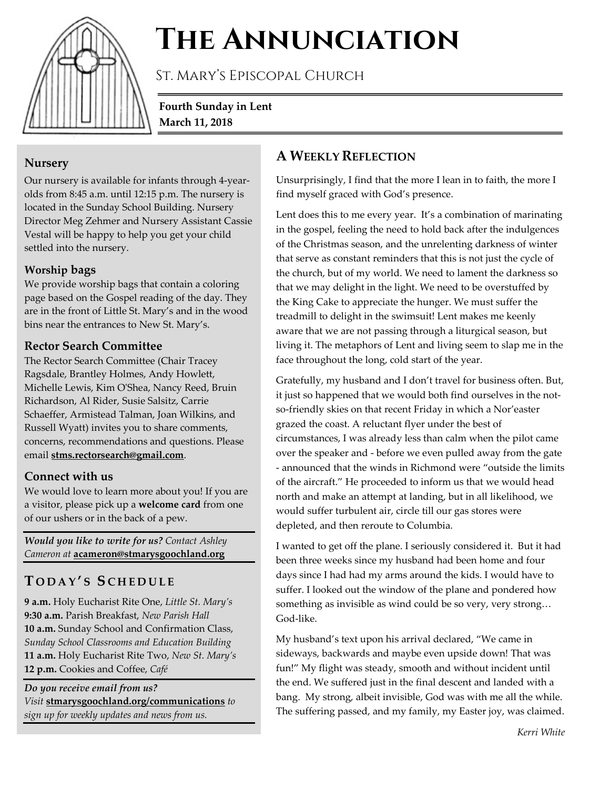

# **The Annunciation**

St. Mary's Episcopal Church

**Fourth Sunday in Lent March 11, 2018**

#### **Nursery**

Our nursery is available for infants through 4-yearolds from 8:45 a.m. until 12:15 p.m. The nursery is located in the Sunday School Building. Nursery Director Meg Zehmer and Nursery Assistant Cassie Vestal will be happy to help you get your child settled into the nursery.

#### **Worship bags**

We provide worship bags that contain a coloring page based on the Gospel reading of the day. They are in the front of Little St. Mary's and in the wood bins near the entrances to New St. Mary's.

#### **Rector Search Committee**

The Rector Search Committee (Chair Tracey Ragsdale, Brantley Holmes, Andy Howlett, Michelle Lewis, Kim O'Shea, Nancy Reed, Bruin Richardson, Al Rider, Susie Salsitz, Carrie Schaeffer, Armistead Talman, Joan Wilkins, and Russell Wyatt) invites you to share comments, concerns, recommendations and questions. Please email **stms.rectorsearch@gmail.com**.

## **Connect with us**

We would love to learn more about you! If you are a visitor, please pick up a **welcome card** from one of our ushers or in the back of a pew.

*Would you like to write for us? Contact Ashley Cameron at* **acameron@stmarysgoochland.org**

# **T ODAY ' S S CHEDULE**

**9 a.m.** Holy Eucharist Rite One, *Little St. Mary's* **9:30 a.m.** Parish Breakfast, *New Parish Hall* **10 a.m.** Sunday School and Confirmation Class, *Sunday School Classrooms and Education Building* **11 a.m.** Holy Eucharist Rite Two, *New St. Mary's* **12 p.m.** Cookies and Coffee, *Café* 

*Do you receive email from us? Visit* **stmarysgoochland.org/communications** *to sign up for weekly updates and news from us.*

# **A WEEKLY REFLECTION**

Unsurprisingly, I find that the more I lean in to faith, the more I find myself graced with God's presence.

Lent does this to me every year. It's a combination of marinating in the gospel, feeling the need to hold back after the indulgences of the Christmas season, and the unrelenting darkness of winter that serve as constant reminders that this is not just the cycle of the church, but of my world. We need to lament the darkness so that we may delight in the light. We need to be overstuffed by the King Cake to appreciate the hunger. We must suffer the treadmill to delight in the swimsuit! Lent makes me keenly aware that we are not passing through a liturgical season, but living it. The metaphors of Lent and living seem to slap me in the face throughout the long, cold start of the year.

Gratefully, my husband and I don't travel for business often. But, it just so happened that we would both find ourselves in the notso-friendly skies on that recent Friday in which a Nor'easter grazed the coast. A reluctant flyer under the best of circumstances, I was already less than calm when the pilot came over the speaker and - before we even pulled away from the gate - announced that the winds in Richmond were "outside the limits of the aircraft." He proceeded to inform us that we would head north and make an attempt at landing, but in all likelihood, we would suffer turbulent air, circle till our gas stores were depleted, and then reroute to Columbia.

I wanted to get off the plane. I seriously considered it. But it had been three weeks since my husband had been home and four days since I had had my arms around the kids. I would have to suffer. I looked out the window of the plane and pondered how something as invisible as wind could be so very, very strong… God-like.

My husband's text upon his arrival declared, "We came in sideways, backwards and maybe even upside down! That was fun!" My flight was steady, smooth and without incident until the end. We suffered just in the final descent and landed with a bang. My strong, albeit invisible, God was with me all the while. The suffering passed, and my family, my Easter joy, was claimed.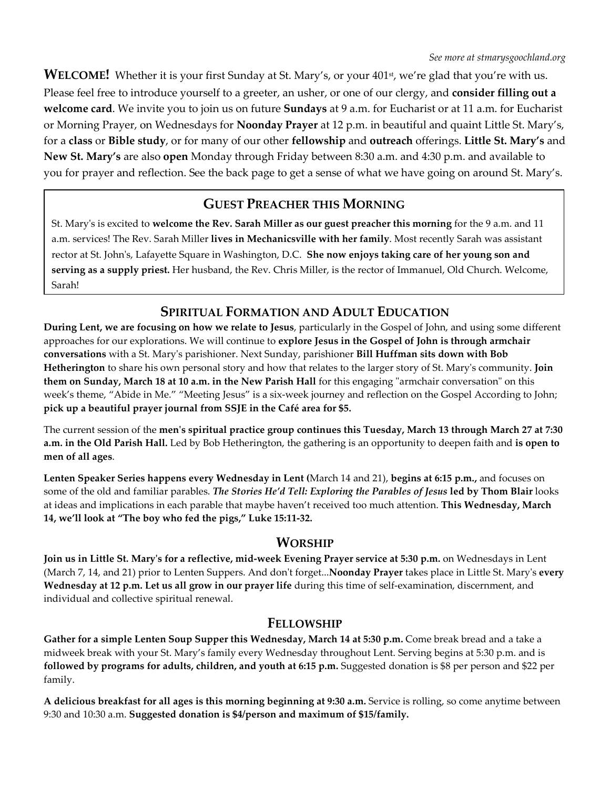WELCOME! Whether it is your first Sunday at St. Mary's, or your 401<sup>st</sup>, we're glad that you're with us. Please feel free to introduce yourself to a greeter, an usher, or one of our clergy, and **consider filling out a welcome card**. We invite you to join us on future **Sundays** at 9 a.m. for Eucharist or at 11 a.m. for Eucharist or Morning Prayer, on Wednesdays for **Noonday Prayer** at 12 p.m. in beautiful and quaint Little St. Mary's, for a **class** or **Bible study**, or for many of our other **fellowship** and **outreach** offerings. **Little St. Mary's** and **New St. Mary's** are also **open** Monday through Friday between 8:30 a.m. and 4:30 p.m. and available to you for prayer and reflection. See the back page to get a sense of what we have going on around St. Mary's.

## **GUEST PREACHER THIS MORNING**

St. Mary's is excited to **welcome the Rev. Sarah Miller as our guest preacher this morning** for the 9 a.m. and 11 a.m. services! The Rev. Sarah Miller **lives in Mechanicsville with her family**. Most recently Sarah was assistant rector at St. John's, Lafayette Square in Washington, D.C. **She now enjoys taking care of her young son and serving as a supply priest.** Her husband, the Rev. Chris Miller, is the rector of Immanuel, Old Church. Welcome, Sarah!

## **SPIRITUAL FORMATION AND ADULT EDUCATION**

**During Lent, we are focusing on how we relate to Jesus**, particularly in the Gospel of John, and using some different approaches for our explorations. We will continue to **explore Jesus in the Gospel of John is through armchair conversations** with a St. Mary's parishioner. Next Sunday, parishioner **Bill Huffman sits down with Bob Hetherington** to share his own personal story and how that relates to the larger story of St. Mary's community. **Join them on Sunday, March 18 at 10 a.m. in the New Parish Hall** for this engaging "armchair conversation" on this week's theme, "Abide in Me." "Meeting Jesus" is a six-week journey and reflection on the Gospel According to John; **pick up a beautiful prayer journal from SSJE in the Café area for \$5.**

The current session of the **men's spiritual practice group continues this Tuesday, March 13 through March 27 at 7:30 a.m. in the Old Parish Hall.** Led by Bob Hetherington, the gathering is an opportunity to deepen faith and **is open to men of all ages**.

**Lenten Speaker Series happens every Wednesday in Lent (**March 14 and 21), **begins at 6:15 p.m.,** and focuses on some of the old and familiar parables. *The Stories He'd Tell: Exploring the Parables of Jesus* **led by Thom Blair** looks at ideas and implications in each parable that maybe haven't received too much attention. **This Wednesday, March 14, we'll look at "The boy who fed the pigs," Luke 15:11-32.**

#### **WORSHIP**

**Join us in Little St. Mary's for a reflective, mid-week Evening Prayer service at 5:30 p.m.** on Wednesdays in Lent (March 7, 14, and 21) prior to Lenten Suppers. And don't forget...**Noonday Prayer** takes place in Little St. Mary's **every Wednesday at 12 p.m. Let us all grow in our prayer life** during this time of self-examination, discernment, and individual and collective spiritual renewal.

#### **FELLOWSHIP**

**Gather for a simple Lenten Soup Supper this Wednesday, March 14 at 5:30 p.m.** Come break bread and a take a midweek break with your St. Mary's family every Wednesday throughout Lent. Serving begins at 5:30 p.m. and is **followed by programs for adults, children, and youth at 6:15 p.m.** Suggested donation is \$8 per person and \$22 per family.

**A delicious breakfast for all ages is this morning beginning at 9:30 a.m.** Service is rolling, so come anytime between 9:30 and 10:30 a.m. **Suggested donation is \$4/person and maximum of \$15/family.**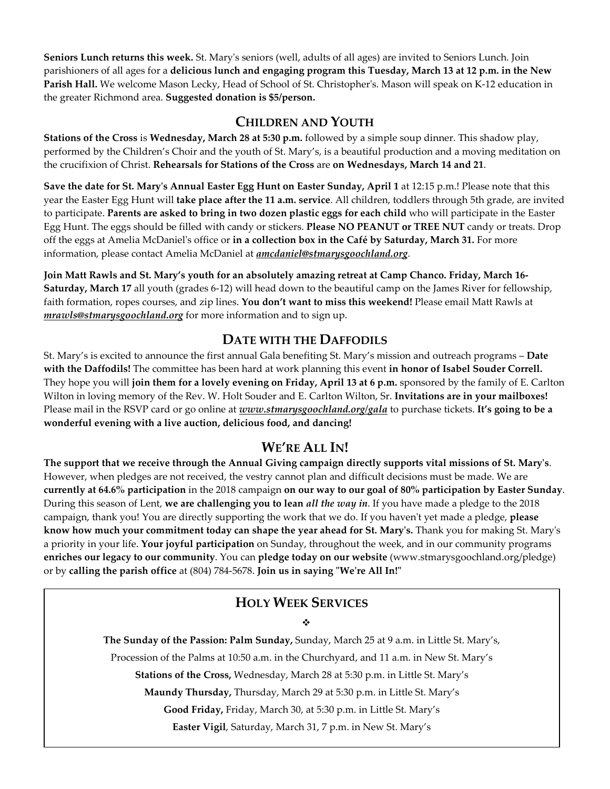**Seniors Lunch returns this week.** St. Mary's seniors (well, adults of all ages) are invited to Seniors Lunch. Join parishioners of all ages for a **delicious lunch and engaging program this Tuesday, March 13 at 12 p.m. in the New Parish Hall.** We welcome Mason Lecky, Head of School of St. Christopher's. Mason will speak on K-12 education in the greater Richmond area. **Suggested donation is \$5/person.**

#### **CHILDREN AND YOUTH**

**Stations of the Cross** is **Wednesday, March 28 at 5:30 p.m.** followed by a simple soup dinner. This shadow play, performed by the Children's Choir and the youth of St. Mary's, is a beautiful production and a moving meditation on the crucifixion of Christ. **Rehearsals for Stations of the Cross** are **on Wednesdays, March 14 and 21**.

**Save the date for St. Mary's Annual Easter Egg Hunt on Easter Sunday, April 1** at 12:15 p.m.! Please note that this year the Easter Egg Hunt will **take place after the 11 a.m. service**. All children, toddlers through 5th grade, are invited to participate. **Parents are asked to bring in two dozen plastic eggs for each child** who will participate in the Easter Egg Hunt. The eggs should be filled with candy or stickers. **Please NO PEANUT or TREE NUT** candy or treats. Drop off the eggs at Amelia McDaniel's office or **in a collection box in the Café by Saturday, March 31.** For more information, please contact Amelia McDaniel at *amcdaniel@stmarysgoochland.org*.

**Join Matt Rawls and St. Mary's youth for an absolutely amazing retreat at Camp Chanco. Friday, March 16- Saturday, March 17** all youth (grades 6-12) will head down to the beautiful camp on the James River for fellowship, faith formation, ropes courses, and zip lines. **You don't want to miss this weekend!** Please email Matt Rawls at *mrawls@stmarysgoochland.org* for more information and to sign up.

#### **DATE WITH THE DAFFODILS**

St. Mary's is excited to announce the first annual Gala benefiting St. Mary's mission and outreach programs – **Date with the Daffodils!** The committee has been hard at work planning this event **in honor of Isabel Souder Correll.**  They hope you will **join them for a lovely evening on Friday, April 13 at 6 p.m.** sponsored by the family of E. Carlton Wilton in loving memory of the Rev. W. Holt Souder and E. Carlton Wilton, Sr. **Invitations are in your mailboxes!** Please mail in the RSVP card or go online at *www.stmarysgoochland.org/gala* to purchase tickets. **It's going to be a wonderful evening with a live auction, delicious food, and dancing!** 

#### **WE'RE ALL IN!**

**The support that we receive through the Annual Giving campaign directly supports vital missions of St. Mary's**. However, when pledges are not received, the vestry cannot plan and difficult decisions must be made. We are **currently at 64.6% participation** in the 2018 campaign **on our way to our goal of 80% participation by Easter Sunday**. During this season of Lent, **we are challenging you to lean** *all the way in*. If you have made a pledge to the 2018 campaign, thank you! You are directly supporting the work that we do. If you haven't yet made a pledge, **please know how much your commitment today can shape the year ahead for St. Mary's.** Thank you for making St. Mary's a priority in your life. **Your joyful participation** on Sunday, throughout the week, and in our community programs **enriches our legacy to our community**. You can **pledge today on our website** (www.stmarysgoochland.org/pledge) or by **calling the parish office** at (804) 784-5678. **Join us in saying "We're All In!"**

## **HOLY WEEK SERVICES**

#### ❖

**The Sunday of the Passion: Palm Sunday,** Sunday, March 25 at 9 a.m. in Little St. Mary's,

Procession of the Palms at 10:50 a.m. in the Churchyard, and 11 a.m. in New St. Mary's

**Stations of the Cross,** Wednesday, March 28 at 5:30 p.m. in Little St. Mary's

**Maundy Thursday,** Thursday, March 29 at 5:30 p.m. in Little St. Mary's

**Good Friday,** Friday, March 30, at 5:30 p.m. in Little St. Mary's

**Easter Vigil**, Saturday, March 31, 7 p.m. in New St. Mary's